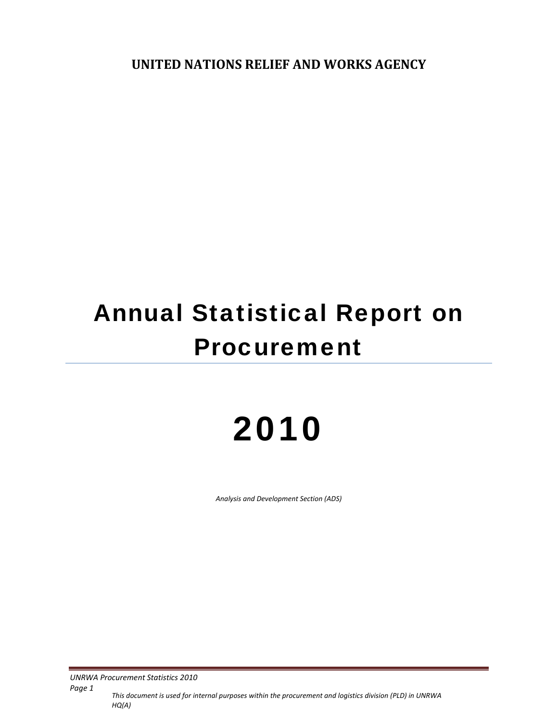**UNITED NATIONS RELIEF AND WORKS AGENCY**

# Annual Statistical Report on Procurement

# 2010

*Analysis and Development Section (ADS)*

**UNRWA Procurement Statistics 2010** 

*Page 1 This document is used for internal purposes within the procurement and logistics division (PLD) in UNRWA HQ(A)*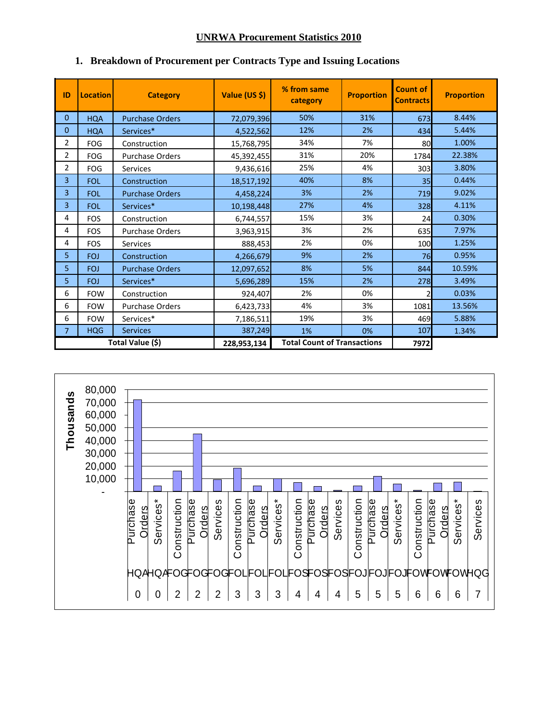# **UNRWA Procurement Statistics 2010**

| ID               | <b>Location</b> | <b>Category</b>        | Value (US \$)                      | % from same<br>category | <b>Proportion</b> | <b>Count of</b><br><b>Contracts</b> | <b>Proportion</b> |
|------------------|-----------------|------------------------|------------------------------------|-------------------------|-------------------|-------------------------------------|-------------------|
| 0                | <b>HQA</b>      | <b>Purchase Orders</b> | 72,079,396                         | 50%                     | 31%               | 673                                 | 8.44%             |
| $\mathbf{0}$     | <b>HQA</b>      | Services*              | 4,522,562                          | 12%                     | 2%                | 434                                 | 5.44%             |
| 2                | <b>FOG</b>      | Construction           | 15,768,795                         | 34%                     | 7%                | 80                                  | 1.00%             |
| $\overline{2}$   | <b>FOG</b>      | Purchase Orders        | 45,392,455                         | 31%                     | 20%               | 1784                                | 22.38%            |
| $\overline{2}$   | <b>FOG</b>      | <b>Services</b>        | 9,436,616                          | 25%                     | 4%                | 303                                 | 3.80%             |
| 3                | <b>FOL</b>      | Construction           | 18,517,192                         | 40%                     | 8%                | 35                                  | 0.44%             |
| 3                | <b>FOL</b>      | <b>Purchase Orders</b> | 4,458,224                          | 3%                      | 2%                | 719                                 | 9.02%             |
| 3                | FOI.            | Services*              | 10,198,448                         | 27%                     | 4%                | 328                                 | 4.11%             |
| 4                | <b>FOS</b>      | Construction           | 6,744,557                          | 15%                     | 3%                | 24                                  | 0.30%             |
| 4                | <b>FOS</b>      | <b>Purchase Orders</b> | 3,963,915                          | 3%                      | 2%                | 635                                 | 7.97%             |
| 4                | <b>FOS</b>      | <b>Services</b>        | 888,453                            | 2%                      | 0%                | 100                                 | 1.25%             |
| 5                | <b>FOJ</b>      | Construction           | 4,266,679                          | 9%                      | 2%                | 76                                  | 0.95%             |
| 5                | <b>FOJ</b>      | <b>Purchase Orders</b> | 12,097,652                         | 8%                      | 5%                | 844                                 | 10.59%            |
| 5                | <b>FOJ</b>      | Services*              | 5,696,289                          | 15%                     | 2%                | 278                                 | 3.49%             |
| 6                | <b>FOW</b>      | Construction           | 924,407                            | 2%                      | 0%                | 2                                   | 0.03%             |
| 6                | <b>FOW</b>      | <b>Purchase Orders</b> | 6,423,733                          | 4%                      | 3%                | 1081                                | 13.56%            |
| 6                | <b>FOW</b>      | Services*              | 7,186,511                          | 19%                     | 3%                | 469                                 | 5.88%             |
| $\overline{7}$   | <b>HQG</b>      | <b>Services</b>        | 387,249                            | 1%                      | 0%                | 107                                 | 1.34%             |
| Total Value (\$) |                 | 228,953,134            | <b>Total Count of Transactions</b> |                         | 7972              |                                     |                   |

# **1. Breakdown of Procurement per Contracts Type and Issuing Locations**

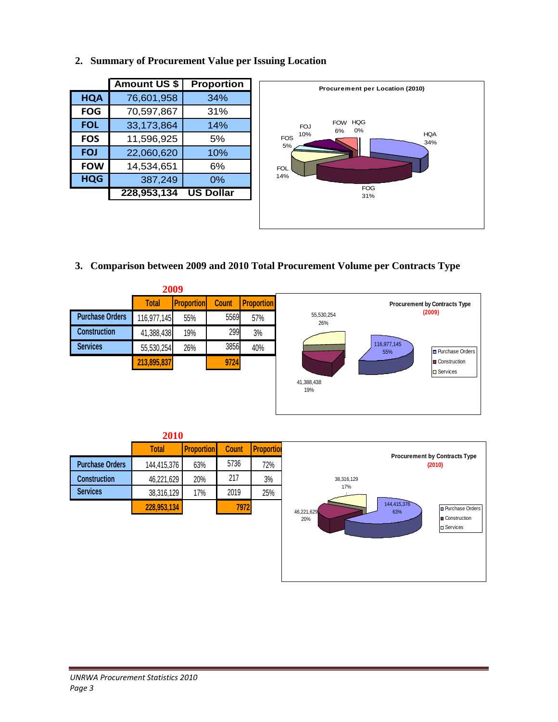**2. Summary of Procurement Value per Issuing Location** 

|            | <b>Amount US \$</b> | <b>Proportion</b> |
|------------|---------------------|-------------------|
| <b>HQA</b> | 76,601,958          | 34%               |
| <b>FOG</b> | 70,597,867          | 31%               |
| <b>FOL</b> | 33,173,864          | 14%               |
| <b>FOS</b> | 11,596,925          | 5%                |
| <b>FOJ</b> | 22,060,620          | 10%               |
| <b>FOW</b> | 14,534,651          | 6%                |
| <b>HQG</b> | 387,249             | 0%                |
|            | 228,953,134         | <b>US Dollar</b>  |



**3. Comparison between 2009 and 2010 Total Procurement Volume per Contracts Type** 



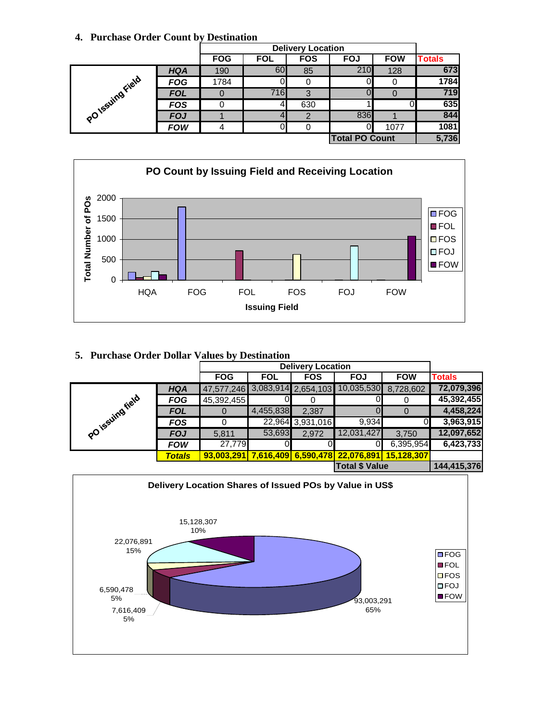# **4. Purchase Order Count by Destination**

|                 |            |            | <b>Delivery Location</b> |            |                       |            |               |  |
|-----------------|------------|------------|--------------------------|------------|-----------------------|------------|---------------|--|
|                 |            | <b>FOG</b> | <b>FOL</b>               | <b>FOS</b> | <b>FOJ</b>            | <b>FOW</b> | <b>Totals</b> |  |
|                 | <b>HQA</b> | 190        | 60                       | 85         | 210                   | 128        | 673           |  |
| PO1ssuing Field | <b>FOG</b> | 1784       |                          |            |                       |            | 1784          |  |
|                 | <b>FOL</b> |            | 716                      | 3          |                       |            | 719           |  |
|                 | <b>FOS</b> |            | 4                        | 630        |                       |            | 635           |  |
|                 | <b>FOJ</b> |            |                          | 2          | 836                   |            | 844           |  |
|                 | <b>FOW</b> |            |                          |            | ∩∎                    | 1077       | 1081          |  |
|                 |            |            |                          |            | <b>Total PO Count</b> |            | 5,736         |  |



# **5. Purchase Order Dollar Values by Destination**

|                  |               | <b>FOG</b>                     | <b>FOL</b> | <b>FOS</b>       | <b>FOJ</b>                                | <b>FOW</b> | <b>Totals</b> |
|------------------|---------------|--------------------------------|------------|------------------|-------------------------------------------|------------|---------------|
|                  | <b>HQA</b>    | 47,577,246 3,083,914 2,654,103 |            |                  | 10,035,530                                | 8,728,602  | 72,079,396    |
|                  | <b>FOG</b>    | 45,392,455                     |            |                  |                                           |            | 45,392,455    |
| PO issuing riata | <b>FOL</b>    | 0                              | 4,455,838  | 2,387            |                                           | $\Omega$   | 4,458,224     |
|                  | <b>FOS</b>    |                                |            | 22,964 3,931,016 | 9,934                                     |            | 3,963,915     |
|                  | <b>FOJ</b>    | 5,811                          | 53,693     | 2.972            | 12,031,427                                | 3,750      | 12,097,652    |
|                  | <b>FOW</b>    | 27,779                         |            |                  |                                           | 6,395,954  | 6,423,733     |
|                  | <b>Totals</b> | 93,003,291                     |            |                  | 7,616,409 6,590,478 22,076,891 15,128,307 |            |               |
|                  |               |                                |            |                  | <b>Total \$ Value</b>                     |            | 144,415,376   |

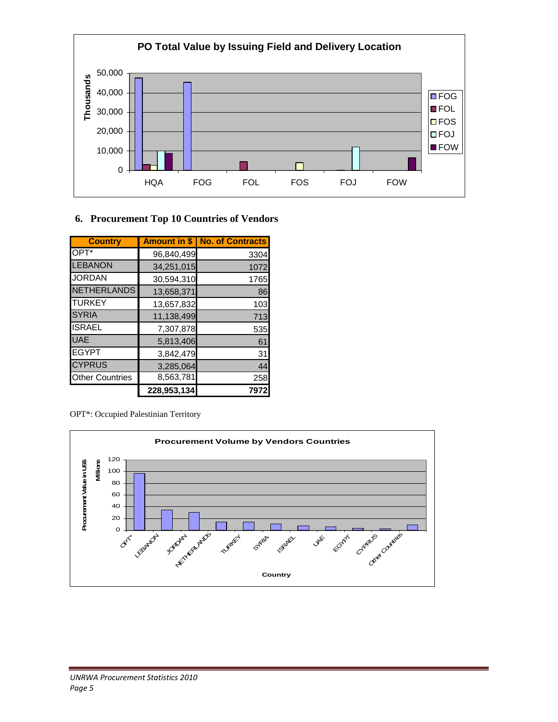

# **6. Procurement Top 10 Countries of Vendors**

| <b>Country</b>         |             | Amount in \$   No. of Contracts |
|------------------------|-------------|---------------------------------|
| OPT*                   | 96,840,499  | 3304                            |
| <b>LEBANON</b>         | 34,251,015  | 1072                            |
| <b>JORDAN</b>          | 30,594,310  | 1765                            |
| <b>NETHERLANDS</b>     | 13,658,371  | 86                              |
| <b>TURKEY</b>          | 13,657,832  | 103                             |
| <b>SYRIA</b>           | 11,138,499  | 713                             |
| <b>ISRAEL</b>          | 7,307,878   | 535                             |
| <b>UAE</b>             | 5,813,406   | 61                              |
| <b>EGYPT</b>           | 3,842,479   | 31                              |
| <b>CYPRUS</b>          | 3,285,064   | 44                              |
| <b>Other Countries</b> | 8,563,781   | 258                             |
|                        | 228,953,134 | 797                             |

OPT\*: Occupied Palestinian Territory

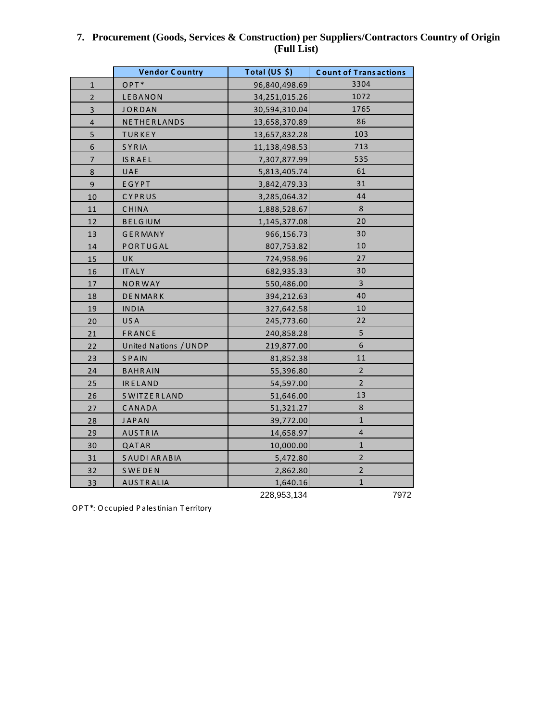|                         | <b>Vendor Country</b> | Total $(US, \xi)$ | <b>Count of Transactions</b> |
|-------------------------|-----------------------|-------------------|------------------------------|
| $\mathbf{1}$            | OPT*                  | 96,840,498.69     | 3304                         |
| $\overline{2}$          | LEBANON               | 34,251,015.26     | 1072                         |
| $\overline{\mathbf{3}}$ | <b>JORDAN</b>         | 30,594,310.04     | 1765                         |
| $\overline{\mathbf{4}}$ | NETHERLANDS           | 13,658,370.89     | 86                           |
| 5                       | <b>TURKEY</b>         | 13,657,832.28     | 103                          |
| 6                       | SYRIA                 | 11,138,498.53     | 713                          |
| 7                       | <b>IS RAEL</b>        | 7,307,877.99      | 535                          |
| 8                       | UAE                   | 5,813,405.74      | 61                           |
| $\overline{9}$          | EGYPT                 | 3,842,479.33      | 31                           |
| 10                      | CYPRUS                | 3,285,064.32      | 44                           |
| 11                      | <b>CHINA</b>          | 1,888,528.67      | 8                            |
| 12                      | <b>BELGIUM</b>        | 1,145,377.08      | 20                           |
| 13                      | <b>GERMANY</b>        | 966,156.73        | 30                           |
| 14                      | PORTUGAL              | 807,753.82        | 10                           |
| 15                      | UK                    | 724,958.96        | 27                           |
| 16                      | <b>ITALY</b>          | 682,935.33        | 30                           |
| 17                      | <b>NORWAY</b>         | 550,486.00        | $\overline{3}$               |
| 18                      | <b>DENMARK</b>        | 394,212.63        | 40                           |
| 19                      | <b>INDIA</b>          | 327,642.58        | 10                           |
| 20                      | USA                   | 245,773.60        | 22                           |
| $21\,$                  | FRANCE                | 240,858.28        | $\mathsf S$                  |
| 22                      | United Nations / UNDP | 219,877.00        | $\boldsymbol{6}$             |
| 23                      | <b>SPAIN</b>          | 81,852.38         | 11                           |
| 24                      | <b>BAHRAIN</b>        | 55,396.80         | $\overline{2}$               |
| 25                      | <b>IRELAND</b>        | 54,597.00         | $\overline{2}$               |
| 26                      | <b>SWITZERLAND</b>    | 51,646.00         | 13                           |
| 27                      | CANADA                | 51,321.27         | $\bf 8$                      |
| 28                      | <b>JAPAN</b>          | 39,772.00         | $\mathbf{1}$                 |
| 29                      | <b>AUSTRIA</b>        | 14,658.97         | 4                            |
| 30                      | QATAR                 | 10,000.00         | $\mathbf{1}$                 |
| 31                      | SAUDI ARABIA          | 5,472.80          | $\overline{2}$               |
| 32                      | <b>SWEDEN</b>         | 2,862.80          | $\overline{2}$               |
| 33                      | <b>AUSTRALIA</b>      | 1,640.16          | $\mathbf{1}$                 |
|                         |                       | 228,953,134       | 7972                         |

# **7. Procurement (Goods, Services & Construction) per Suppliers/Contractors Country of Origin (Full List)**

OPT\*: Occupied Palestinian Territory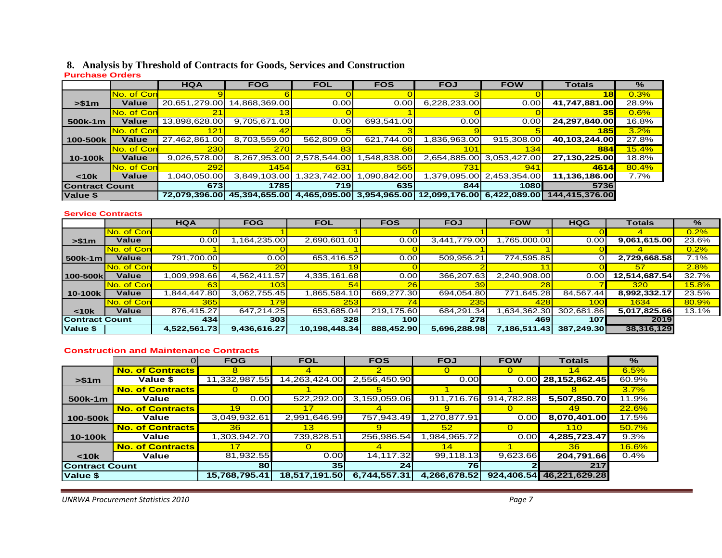### **8. Analysis by Threshold of Contracts for Goods, Services and Construction**

#### **Purchase Orders**

|                       |                    | <b>HQA</b>    | <b>FOG</b>                              | <b>FOL</b>                  | <b>FOS</b>   | <b>FOJ</b>                 | <b>FOW</b>   | Totals          | $\%$  |
|-----------------------|--------------------|---------------|-----------------------------------------|-----------------------------|--------------|----------------------------|--------------|-----------------|-------|
|                       | No. of Con         |               |                                         |                             |              |                            |              | 18              | 0.3%  |
| > \$1m                | Value              | 20,651,279.00 | 14,868,369.00                           | 0.00                        | 0.00         | 6,228,233.00               | 0.00         | 41,747,881.00   | 28.9% |
|                       | No. of Con         | 21            |                                         |                             |              |                            |              | 35 <sub>l</sub> | 0.6%  |
| 500k-1m               | <b>Value</b>       | 13,898,628.00 | 9,705,671.00                            | 0.00                        | 693,541.00   | 0.00                       | 0.00         | 24,297,840.00   | 16.8% |
|                       | No. of Con         | 121           | 42                                      |                             |              |                            |              | <b>1851</b>     | 3.2%  |
| 100-500k              | Value              | 27,462,861.00 | 8,703,559.00                            | 562,809.00                  | 621,744.00   | 836,963.00                 | 915,308.00   | 40,103,244.00   | 27.8% |
|                       | No. of Con         | 230           | <b>270</b>                              | 83                          | 66           | 101                        | 134          | 884             | 15.4% |
| 10-100k               | Value              | 9,026,578.00  |                                         | 8,267,953.00   2,578,544.00 | .548,838.00  | 2,654,885.00               | 3,053,427.00 | 27,130,225.00   | 18.8% |
|                       | <b>No. of Conl</b> | 292           | 1454                                    | 631                         | 565          | 731                        | 941          | 4614            | 80.4% |
| $10k$                 | Value              | ,040,050.00   | 3,849,103.00                            | ,323,742.00                 | 1,090,842.00 | 1,379,095.00               | 2,453,354.00 | 11,136,186.00   | 7.7%  |
| <b>Contract Count</b> |                    | 673           | 1785                                    | <b>7191</b>                 | <b>6351</b>  | 844                        | 1080         | 5736            |       |
| Value \$              |                    | 72,079,396.00 | 45,394,655.00 4,465,095.00 3,954,965.00 |                             |              | 12,099,176.00 6,422,089.00 |              | 144.415.376.00  |       |

#### **Service Contracts**

|                       |            | <b>HQA</b>   | <b>FOG</b>        | <b>FOL</b>    | <b>FOS</b>  | <b>FOJ</b>   | <b>FOW</b>   | <b>HQG</b> | Totals        | $\%$  |
|-----------------------|------------|--------------|-------------------|---------------|-------------|--------------|--------------|------------|---------------|-------|
|                       | No. of Con |              |                   |               |             |              |              |            |               | 0.2%  |
| > \$1m                | Value      | 0.00         | ,164,235.00       | 2,690,601.00  | 0.00        | 3,441,779.00 | ,765,000.00  | 0.00       | 9,061,615.00  | 23.6% |
|                       | No. of Con |              |                   |               |             |              |              |            |               | 0.2%  |
| 500k-1m               | Value      | 791,700.00   | 0.00 <sub>l</sub> | 653,416.52    | 0.00        | 509,956.21   | 774,595.85   |            | 2,729,668.58  | 7.1%  |
|                       | No. of Con |              | 20 <sub>1</sub>   |               |             |              |              |            | 57            | 2.8%  |
| 100-500k              | Value      | 009.998.66   | 4,562,411.57      | 4,335,161.68  | 0.00        | 366,207.63   | 2,240,908.00 | 0.00       | 12,514,687.54 | 32.7% |
|                       | No. of Con |              | 103               |               |             |              |              |            | 320           | 15.8% |
| 10-100k               | Value      | .844,447.80  | 3,062,755.45      | ,865,584.10   | 669,277.30  | 694,054.80   | 771,645.28   | 84,567.44  | 8,992,332.17  | 23.5% |
|                       | No. of Con | <b>365</b>   | 179               | 253           |             | 235          | 428          | 100        | 1634          | 80.9% |
| < 10k                 | Value      | 876,415.27   | 647,214.25        | 653,685.04    | 219,175.60  | 684,291.34   | .634,362.30  | 302,681.86 | 5,017,825.66  | 13.1% |
| <b>Contract Count</b> |            | 434I         | 303               | 328           | <b>1001</b> | <b>278</b>   | 469          | 107        | 2019          |       |
| Value \$              |            | 4,522,561.73 | 9,436,616.27      | 10,198,448.34 | 888,452.90  | 5,696,288.98 | 7,186,511.43 | 387,249.30 | 38,316,129    |       |

#### **Construction and Maintenance Contracts**

|                       |                         | <b>FOG</b>      | <b>FOL</b>      | <b>FOS</b>      | <b>FOJ</b>   | <b>FOW</b> | <b>Totals</b> | $\frac{9}{6}$ |
|-----------------------|-------------------------|-----------------|-----------------|-----------------|--------------|------------|---------------|---------------|
|                       | <b>No. of Contracts</b> | 8               |                 | $\overline{2}$  | $\Omega$     |            | 14            | 6.5%          |
| > \$1m                | Value \$                | 11,332,987.55   | 14,263,424.00   | 2,556,450.90    | 0.00         | 0.00       | 28,152,862.45 | 60.9%         |
|                       | <b>No. of Contracts</b> |                 |                 |                 |              |            |               | 3.7%          |
| $500k-1m$             | Value                   | 0.00            | 522,292.00      | 3,159,059.06    | 911,716.76   | 914,782.88 | 5,507,850.70  | 11.9%         |
|                       | <b>No. of Contracts</b> | 19              |                 |                 | 9            |            | 49            | <b>22.6%</b>  |
| 100-500k              | Value                   | 3,049,932.61    | 2,991,646.99    | 757,943.49      | 1,270,877.91 | 0.00       | 8,070,401.00  | 17.5%         |
|                       | <b>No. of Contracts</b> | 36 <sup>°</sup> | 13 <sub>1</sub> | 9               | 52           |            | 110           | 50.7%         |
| 10-100k               | Value                   | 1,303,942.70    | 739,828.51      | 256,986.54      | .984,965.72  | 0.00       | 4,285,723.47  | 9.3%          |
|                       | <b>No. of Contracts</b> | 17              |                 |                 | 14           |            | 36            | <b>16.6%</b>  |
| $10k$                 | Value                   | 81,932.55       | 0.00            | 14,117.32       | 99,118.13    | 9,623.66   | 204,791.66    | 0.4%          |
| <b>Contract Count</b> |                         | 80              | 35 <sub>1</sub> | 24 <sup>1</sup> | 76 I         |            | 217           |               |
| Value \$              |                         | 15,768,795.41   | 18,517,191.50   | 6,744,557.31    | 4,266,678.52 | 924,406.54 | 46.221.629.28 |               |

*UNRWA Procurement Statistics 2010 Page 7*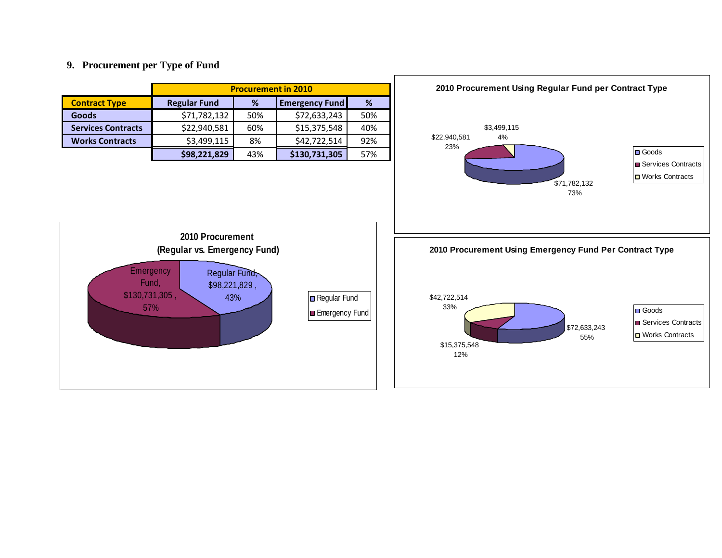#### **9. Procurement per Type of Fund**

|                           | <b>Procurement in 2010</b>               |                                 |               |     |  |  |  |  |  |
|---------------------------|------------------------------------------|---------------------------------|---------------|-----|--|--|--|--|--|
| <b>Contract Type</b>      | <b>Regular Fund</b>                      | %<br><b>Emergency Fund</b><br>% |               |     |  |  |  |  |  |
| <b>Goods</b>              | \$71,782,132                             | 50%                             | \$72,633,243  | 50% |  |  |  |  |  |
| <b>Services Contracts</b> | \$22,940,581                             | 60%                             | \$15,375,548  | 40% |  |  |  |  |  |
| <b>Works Contracts</b>    | \$3,499,115<br>\$42,722,514<br>92%<br>8% |                                 |               |     |  |  |  |  |  |
|                           | \$98,221,829                             | 43%                             | \$130,731,305 | 57% |  |  |  |  |  |



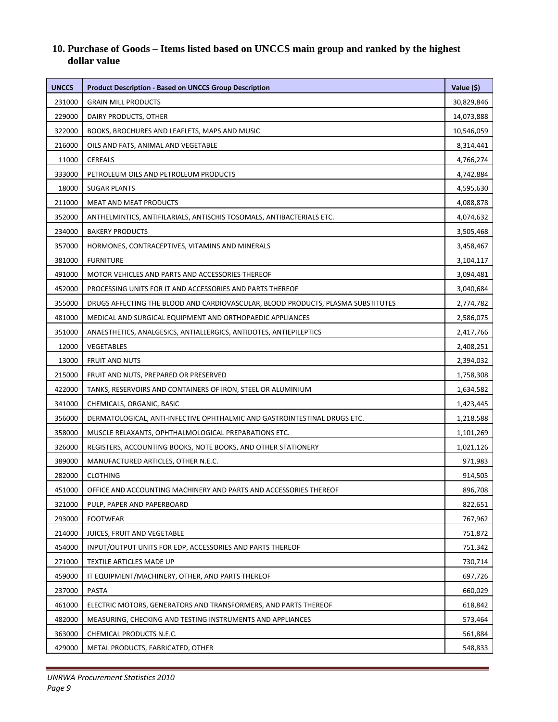# **10. Purchase of Goods – Items listed based on UNCCS main group and ranked by the highest dollar value**

| <b>UNCCS</b> | <b>Product Description - Based on UNCCS Group Description</b>                    | Value (\$) |
|--------------|----------------------------------------------------------------------------------|------------|
| 231000       | <b>GRAIN MILL PRODUCTS</b>                                                       | 30,829,846 |
| 229000       | DAIRY PRODUCTS, OTHER                                                            | 14,073,888 |
| 322000       | BOOKS, BROCHURES AND LEAFLETS, MAPS AND MUSIC                                    | 10,546,059 |
| 216000       | OILS AND FATS, ANIMAL AND VEGETABLE                                              | 8,314,441  |
| 11000        | <b>CEREALS</b>                                                                   | 4,766,274  |
| 333000       | PETROLEUM OILS AND PETROLEUM PRODUCTS                                            | 4,742,884  |
| 18000        | <b>SUGAR PLANTS</b>                                                              | 4,595,630  |
| 211000       | <b>MEAT AND MEAT PRODUCTS</b>                                                    | 4,088,878  |
| 352000       | ANTHELMINTICS, ANTIFILARIALS, ANTISCHIS TOSOMALS, ANTIBACTERIALS ETC.            | 4,074,632  |
| 234000       | <b>BAKERY PRODUCTS</b>                                                           | 3,505,468  |
| 357000       | HORMONES, CONTRACEPTIVES, VITAMINS AND MINERALS                                  | 3,458,467  |
| 381000       | <b>FURNITURE</b>                                                                 | 3,104,117  |
| 491000       | MOTOR VEHICLES AND PARTS AND ACCESSORIES THEREOF                                 | 3,094,481  |
| 452000       | PROCESSING UNITS FOR IT AND ACCESSORIES AND PARTS THEREOF                        | 3,040,684  |
| 355000       | DRUGS AFFECTING THE BLOOD AND CARDIOVASCULAR, BLOOD PRODUCTS, PLASMA SUBSTITUTES | 2,774,782  |
| 481000       | MEDICAL AND SURGICAL EQUIPMENT AND ORTHOPAEDIC APPLIANCES                        | 2,586,075  |
| 351000       | ANAESTHETICS, ANALGESICS, ANTIALLERGICS, ANTIDOTES, ANTIEPILEPTICS               | 2,417,766  |
| 12000        | VEGETABLES                                                                       | 2,408,251  |
| 13000        | <b>FRUIT AND NUTS</b>                                                            | 2,394,032  |
| 215000       | FRUIT AND NUTS, PREPARED OR PRESERVED                                            | 1,758,308  |
| 422000       | TANKS, RESERVOIRS AND CONTAINERS OF IRON, STEEL OR ALUMINIUM                     | 1,634,582  |
| 341000       | CHEMICALS, ORGANIC, BASIC                                                        | 1,423,445  |
| 356000       | DERMATOLOGICAL, ANTI-INFECTIVE OPHTHALMIC AND GASTROINTESTINAL DRUGS ETC.        | 1,218,588  |
| 358000       | MUSCLE RELAXANTS, OPHTHALMOLOGICAL PREPARATIONS ETC.                             | 1,101,269  |
| 326000       | REGISTERS, ACCOUNTING BOOKS, NOTE BOOKS, AND OTHER STATIONERY                    | 1,021,126  |
| 389000       | MANUFACTURED ARTICLES, OTHER N.E.C.                                              | 971,983    |
| 282000       | <b>CLOTHING</b>                                                                  | 914,505    |
| 451000       | OFFICE AND ACCOUNTING MACHINERY AND PARTS AND ACCESSORIES THEREOF                | 896,708    |
| 321000       | PULP, PAPER AND PAPERBOARD                                                       | 822,651    |
| 293000       | <b>FOOTWEAR</b>                                                                  | 767,962    |
| 214000       | JUICES, FRUIT AND VEGETABLE                                                      | 751,872    |
| 454000       | INPUT/OUTPUT UNITS FOR EDP, ACCESSORIES AND PARTS THEREOF                        | 751,342    |
| 271000       | TEXTILE ARTICLES MADE UP                                                         | 730,714    |
| 459000       | IT EQUIPMENT/MACHINERY, OTHER, AND PARTS THEREOF                                 | 697,726    |
| 237000       | PASTA                                                                            | 660,029    |
| 461000       | ELECTRIC MOTORS, GENERATORS AND TRANSFORMERS, AND PARTS THEREOF                  | 618,842    |
| 482000       | MEASURING, CHECKING AND TESTING INSTRUMENTS AND APPLIANCES                       | 573,464    |
| 363000       | CHEMICAL PRODUCTS N.E.C.                                                         | 561,884    |
| 429000       | METAL PRODUCTS, FABRICATED, OTHER                                                | 548,833    |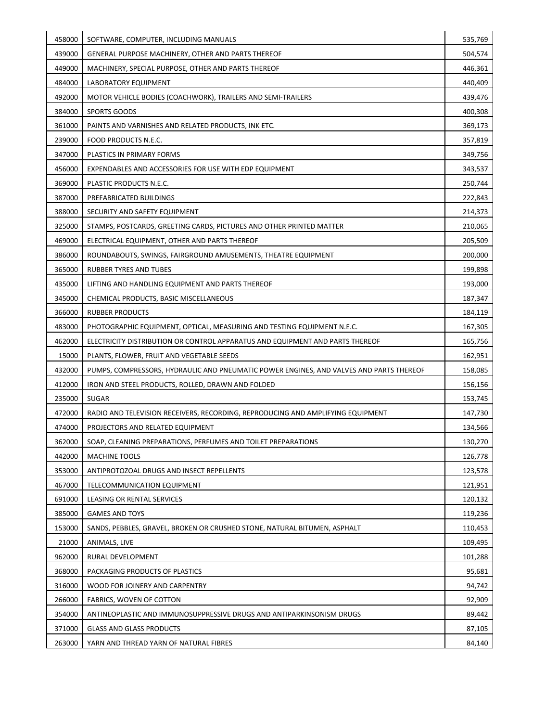| 458000 | SOFTWARE, COMPUTER, INCLUDING MANUALS                                                   | 535,769 |
|--------|-----------------------------------------------------------------------------------------|---------|
| 439000 | GENERAL PURPOSE MACHINERY, OTHER AND PARTS THEREOF                                      | 504,574 |
| 449000 | MACHINERY, SPECIAL PURPOSE, OTHER AND PARTS THEREOF                                     | 446,361 |
| 484000 | LABORATORY EQUIPMENT                                                                    | 440,409 |
| 492000 | MOTOR VEHICLE BODIES (COACHWORK), TRAILERS AND SEMI-TRAILERS                            | 439,476 |
| 384000 | SPORTS GOODS                                                                            | 400,308 |
| 361000 | PAINTS AND VARNISHES AND RELATED PRODUCTS, INK ETC.                                     | 369,173 |
| 239000 | FOOD PRODUCTS N.E.C.                                                                    | 357,819 |
| 347000 | PLASTICS IN PRIMARY FORMS                                                               | 349,756 |
| 456000 | EXPENDABLES AND ACCESSORIES FOR USE WITH EDP EQUIPMENT                                  | 343,537 |
| 369000 | PLASTIC PRODUCTS N.E.C.                                                                 | 250,744 |
| 387000 | PREFABRICATED BUILDINGS                                                                 | 222,843 |
| 388000 | SECURITY AND SAFETY EQUIPMENT                                                           | 214,373 |
| 325000 | STAMPS, POSTCARDS, GREETING CARDS, PICTURES AND OTHER PRINTED MATTER                    | 210,065 |
| 469000 | ELECTRICAL EQUIPMENT, OTHER AND PARTS THEREOF                                           | 205,509 |
| 386000 | ROUNDABOUTS, SWINGS, FAIRGROUND AMUSEMENTS, THEATRE EQUIPMENT                           | 200,000 |
| 365000 | <b>RUBBER TYRES AND TUBES</b>                                                           | 199,898 |
| 435000 | LIFTING AND HANDLING EQUIPMENT AND PARTS THEREOF                                        | 193,000 |
| 345000 | CHEMICAL PRODUCTS, BASIC MISCELLANEOUS                                                  | 187,347 |
| 366000 | <b>RUBBER PRODUCTS</b>                                                                  | 184,119 |
| 483000 | PHOTOGRAPHIC EQUIPMENT, OPTICAL, MEASURING AND TESTING EQUIPMENT N.E.C.                 | 167,305 |
| 462000 | ELECTRICITY DISTRIBUTION OR CONTROL APPARATUS AND EQUIPMENT AND PARTS THEREOF           | 165,756 |
| 15000  | PLANTS, FLOWER, FRUIT AND VEGETABLE SEEDS                                               | 162,951 |
| 432000 | PUMPS, COMPRESSORS, HYDRAULIC AND PNEUMATIC POWER ENGINES, AND VALVES AND PARTS THEREOF | 158,085 |
| 412000 | IRON AND STEEL PRODUCTS, ROLLED, DRAWN AND FOLDED                                       | 156,156 |
| 235000 | <b>SUGAR</b>                                                                            | 153,745 |
| 472000 | RADIO AND TELEVISION RECEIVERS, RECORDING, REPRODUCING AND AMPLIFYING EQUIPMENT         | 147,730 |
| 474000 | PROJECTORS AND RELATED EQUIPMENT                                                        | 134,566 |
| 362000 | SOAP, CLEANING PREPARATIONS, PERFUMES AND TOILET PREPARATIONS                           | 130,270 |
| 442000 | <b>MACHINE TOOLS</b>                                                                    | 126,778 |
| 353000 | ANTIPROTOZOAL DRUGS AND INSECT REPELLENTS                                               | 123,578 |
| 467000 | TELECOMMUNICATION EQUIPMENT                                                             | 121,951 |
| 691000 | LEASING OR RENTAL SERVICES                                                              | 120,132 |
| 385000 | <b>GAMES AND TOYS</b>                                                                   | 119,236 |
| 153000 | SANDS, PEBBLES, GRAVEL, BROKEN OR CRUSHED STONE, NATURAL BITUMEN, ASPHALT               | 110,453 |
| 21000  | ANIMALS, LIVE                                                                           | 109,495 |
| 962000 | RURAL DEVELOPMENT                                                                       | 101,288 |
| 368000 | PACKAGING PRODUCTS OF PLASTICS                                                          | 95,681  |
| 316000 | WOOD FOR JOINERY AND CARPENTRY                                                          | 94,742  |
| 266000 | FABRICS, WOVEN OF COTTON                                                                | 92,909  |
| 354000 | ANTINEOPLASTIC AND IMMUNOSUPPRESSIVE DRUGS AND ANTIPARKINSONISM DRUGS                   | 89,442  |
| 371000 | <b>GLASS AND GLASS PRODUCTS</b>                                                         | 87,105  |
| 263000 | YARN AND THREAD YARN OF NATURAL FIBRES                                                  | 84,140  |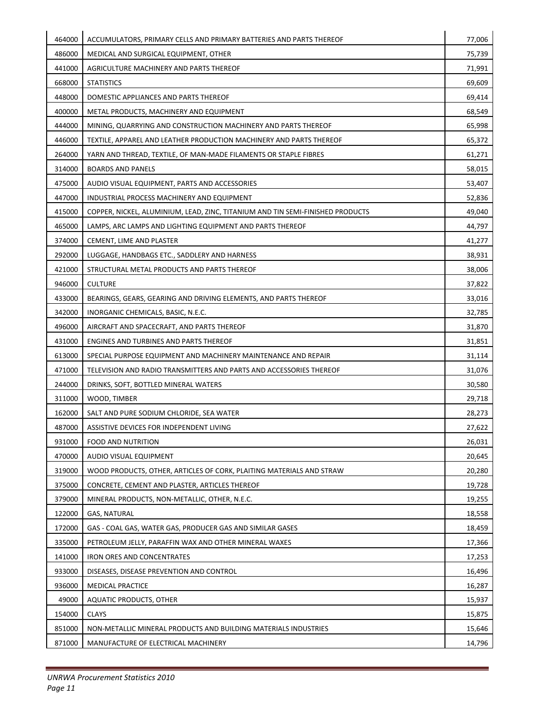| 464000 | ACCUMULATORS, PRIMARY CELLS AND PRIMARY BATTERIES AND PARTS THEREOF            | 77,006 |
|--------|--------------------------------------------------------------------------------|--------|
| 486000 | MEDICAL AND SURGICAL EQUIPMENT, OTHER                                          | 75,739 |
| 441000 | AGRICULTURE MACHINERY AND PARTS THEREOF                                        | 71,991 |
| 668000 | <b>STATISTICS</b>                                                              | 69,609 |
| 448000 | DOMESTIC APPLIANCES AND PARTS THEREOF                                          | 69,414 |
| 400000 | METAL PRODUCTS, MACHINERY AND EQUIPMENT                                        | 68,549 |
| 444000 | MINING, QUARRYING AND CONSTRUCTION MACHINERY AND PARTS THEREOF                 | 65,998 |
| 446000 | TEXTILE, APPAREL AND LEATHER PRODUCTION MACHINERY AND PARTS THEREOF            | 65,372 |
| 264000 | YARN AND THREAD, TEXTILE, OF MAN-MADE FILAMENTS OR STAPLE FIBRES               | 61,271 |
| 314000 | <b>BOARDS AND PANELS</b>                                                       | 58,015 |
| 475000 | AUDIO VISUAL EQUIPMENT, PARTS AND ACCESSORIES                                  | 53,407 |
| 447000 | INDUSTRIAL PROCESS MACHINERY AND EQUIPMENT                                     | 52,836 |
| 415000 | COPPER, NICKEL, ALUMINIUM, LEAD, ZINC, TITANIUM AND TIN SEMI-FINISHED PRODUCTS | 49,040 |
| 465000 | LAMPS, ARC LAMPS AND LIGHTING EQUIPMENT AND PARTS THEREOF                      | 44,797 |
| 374000 | CEMENT, LIME AND PLASTER                                                       | 41,277 |
| 292000 | LUGGAGE, HANDBAGS ETC., SADDLERY AND HARNESS                                   | 38,931 |
| 421000 | STRUCTURAL METAL PRODUCTS AND PARTS THEREOF                                    | 38,006 |
| 946000 | <b>CULTURE</b>                                                                 | 37,822 |
| 433000 | BEARINGS, GEARS, GEARING AND DRIVING ELEMENTS, AND PARTS THEREOF               | 33,016 |
| 342000 | INORGANIC CHEMICALS, BASIC, N.E.C.                                             | 32,785 |
| 496000 | AIRCRAFT AND SPACECRAFT, AND PARTS THEREOF                                     | 31,870 |
| 431000 | ENGINES AND TURBINES AND PARTS THEREOF                                         | 31,851 |
| 613000 | SPECIAL PURPOSE EQUIPMENT AND MACHINERY MAINTENANCE AND REPAIR                 | 31,114 |
| 471000 | TELEVISION AND RADIO TRANSMITTERS AND PARTS AND ACCESSORIES THEREOF            | 31,076 |
| 244000 | DRINKS, SOFT, BOTTLED MINERAL WATERS                                           | 30,580 |
| 311000 | WOOD, TIMBER                                                                   | 29,718 |
| 162000 | SALT AND PURE SODIUM CHLORIDE, SEA WATER                                       | 28,273 |
| 487000 | ASSISTIVE DEVICES FOR INDEPENDENT LIVING                                       | 27,622 |
| 931000 | <b>FOOD AND NUTRITION</b>                                                      | 26,031 |
| 470000 | AUDIO VISUAL EQUIPMENT                                                         | 20,645 |
| 319000 | WOOD PRODUCTS, OTHER, ARTICLES OF CORK, PLAITING MATERIALS AND STRAW           | 20,280 |
| 375000 | CONCRETE, CEMENT AND PLASTER, ARTICLES THEREOF                                 | 19,728 |
| 379000 | MINERAL PRODUCTS, NON-METALLIC, OTHER, N.E.C.                                  | 19,255 |
| 122000 | <b>GAS, NATURAL</b>                                                            | 18,558 |
| 172000 | GAS - COAL GAS, WATER GAS, PRODUCER GAS AND SIMILAR GASES                      | 18,459 |
| 335000 | PETROLEUM JELLY, PARAFFIN WAX AND OTHER MINERAL WAXES                          | 17,366 |
| 141000 | <b>IRON ORES AND CONCENTRATES</b>                                              | 17,253 |
| 933000 | DISEASES, DISEASE PREVENTION AND CONTROL                                       | 16,496 |
| 936000 | <b>MEDICAL PRACTICE</b>                                                        | 16,287 |
| 49000  | <b>AQUATIC PRODUCTS, OTHER</b>                                                 | 15,937 |
| 154000 | <b>CLAYS</b>                                                                   | 15,875 |
| 851000 | NON-METALLIC MINERAL PRODUCTS AND BUILDING MATERIALS INDUSTRIES                | 15,646 |
| 871000 | MANUFACTURE OF ELECTRICAL MACHINERY                                            | 14,796 |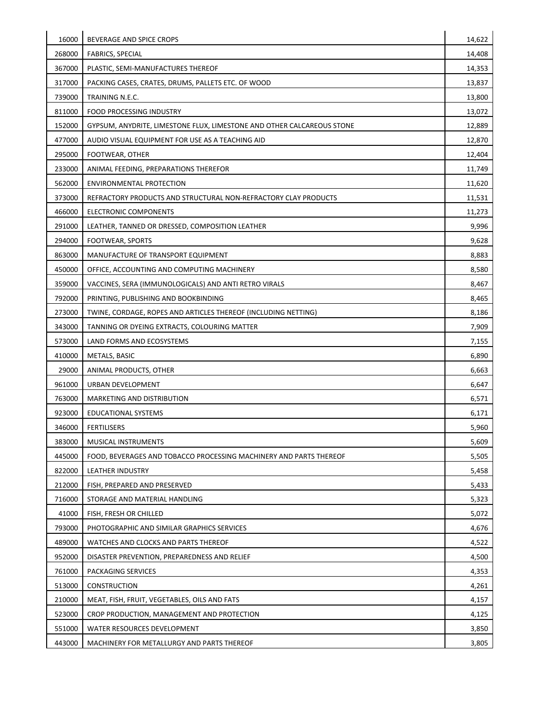| 16000  | BEVERAGE AND SPICE CROPS                                               | 14,622 |
|--------|------------------------------------------------------------------------|--------|
| 268000 | <b>FABRICS, SPECIAL</b>                                                | 14,408 |
| 367000 | PLASTIC, SEMI-MANUFACTURES THEREOF                                     | 14,353 |
| 317000 | PACKING CASES, CRATES, DRUMS, PALLETS ETC. OF WOOD                     | 13,837 |
| 739000 | TRAINING N.E.C.                                                        | 13,800 |
| 811000 | FOOD PROCESSING INDUSTRY                                               | 13,072 |
| 152000 | GYPSUM, ANYDRITE, LIMESTONE FLUX, LIMESTONE AND OTHER CALCAREOUS STONE | 12,889 |
| 477000 | AUDIO VISUAL EQUIPMENT FOR USE AS A TEACHING AID                       | 12,870 |
| 295000 | FOOTWEAR, OTHER                                                        | 12,404 |
| 233000 | ANIMAL FEEDING, PREPARATIONS THEREFOR                                  | 11,749 |
| 562000 | <b>ENVIRONMENTAL PROTECTION</b>                                        | 11,620 |
| 373000 | REFRACTORY PRODUCTS AND STRUCTURAL NON-REFRACTORY CLAY PRODUCTS        | 11,531 |
| 466000 | ELECTRONIC COMPONENTS                                                  | 11,273 |
| 291000 | LEATHER, TANNED OR DRESSED, COMPOSITION LEATHER                        | 9,996  |
| 294000 | FOOTWEAR, SPORTS                                                       | 9,628  |
| 863000 | MANUFACTURE OF TRANSPORT EQUIPMENT                                     | 8,883  |
| 450000 | OFFICE, ACCOUNTING AND COMPUTING MACHINERY                             | 8,580  |
| 359000 | VACCINES, SERA (IMMUNOLOGICALS) AND ANTI RETRO VIRALS                  | 8,467  |
| 792000 | PRINTING, PUBLISHING AND BOOKBINDING                                   | 8,465  |
| 273000 | TWINE, CORDAGE, ROPES AND ARTICLES THEREOF (INCLUDING NETTING)         | 8,186  |
| 343000 | TANNING OR DYEING EXTRACTS, COLOURING MATTER                           | 7,909  |
| 573000 | LAND FORMS AND ECOSYSTEMS                                              | 7,155  |
| 410000 | METALS, BASIC                                                          | 6,890  |
| 29000  | ANIMAL PRODUCTS, OTHER                                                 | 6,663  |
| 961000 | URBAN DEVELOPMENT                                                      | 6,647  |
| 763000 | MARKETING AND DISTRIBUTION                                             | 6,571  |
| 923000 | EDUCATIONAL SYSTEMS                                                    | 6,171  |
| 346000 | <b>FERTILISERS</b>                                                     | 5,960  |
| 383000 | MUSICAL INSTRUMENTS                                                    | 5,609  |
| 445000 | FOOD, BEVERAGES AND TOBACCO PROCESSING MACHINERY AND PARTS THEREOF     | 5,505  |
| 822000 | LEATHER INDUSTRY                                                       | 5,458  |
| 212000 | FISH, PREPARED AND PRESERVED                                           | 5,433  |
| 716000 | STORAGE AND MATERIAL HANDLING                                          | 5,323  |
| 41000  | FISH, FRESH OR CHILLED                                                 | 5,072  |
| 793000 | PHOTOGRAPHIC AND SIMILAR GRAPHICS SERVICES                             | 4,676  |
| 489000 | WATCHES AND CLOCKS AND PARTS THEREOF                                   | 4,522  |
| 952000 | DISASTER PREVENTION, PREPAREDNESS AND RELIEF                           | 4,500  |
| 761000 | PACKAGING SERVICES                                                     | 4,353  |
| 513000 | <b>CONSTRUCTION</b>                                                    | 4,261  |
| 210000 | MEAT, FISH, FRUIT, VEGETABLES, OILS AND FATS                           | 4,157  |
| 523000 | CROP PRODUCTION, MANAGEMENT AND PROTECTION                             | 4,125  |
| 551000 | WATER RESOURCES DEVELOPMENT                                            | 3,850  |
| 443000 | MACHINERY FOR METALLURGY AND PARTS THEREOF                             | 3,805  |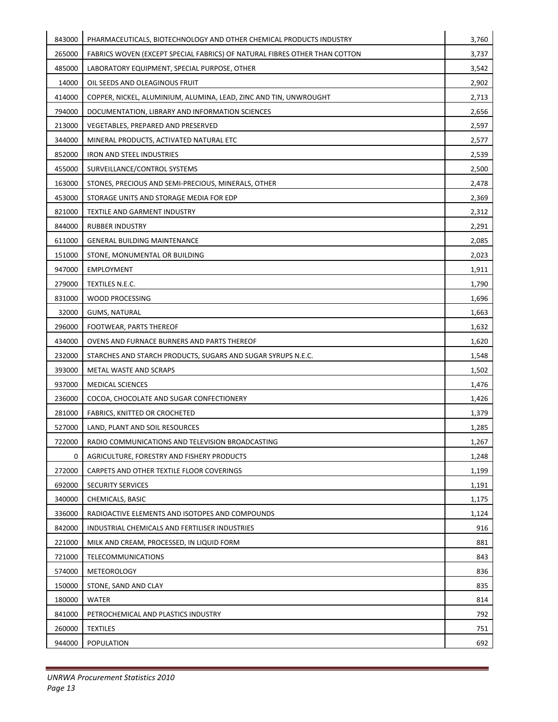| 843000 | PHARMACEUTICALS, BIOTECHNOLOGY AND OTHER CHEMICAL PRODUCTS INDUSTRY        | 3,760 |
|--------|----------------------------------------------------------------------------|-------|
| 265000 | FABRICS WOVEN (EXCEPT SPECIAL FABRICS) OF NATURAL FIBRES OTHER THAN COTTON | 3,737 |
| 485000 | LABORATORY EQUIPMENT, SPECIAL PURPOSE, OTHER                               | 3,542 |
| 14000  | OIL SEEDS AND OLEAGINOUS FRUIT                                             | 2,902 |
| 414000 | COPPER, NICKEL, ALUMINIUM, ALUMINA, LEAD, ZINC AND TIN, UNWROUGHT          | 2,713 |
| 794000 | DOCUMENTATION, LIBRARY AND INFORMATION SCIENCES                            | 2,656 |
| 213000 | VEGETABLES, PREPARED AND PRESERVED                                         | 2,597 |
| 344000 | MINERAL PRODUCTS, ACTIVATED NATURAL ETC                                    | 2,577 |
| 852000 | <b>IRON AND STEEL INDUSTRIES</b>                                           | 2,539 |
| 455000 | SURVEILLANCE/CONTROL SYSTEMS                                               | 2,500 |
| 163000 | STONES, PRECIOUS AND SEMI-PRECIOUS, MINERALS, OTHER                        | 2,478 |
| 453000 | STORAGE UNITS AND STORAGE MEDIA FOR EDP                                    | 2,369 |
| 821000 | TEXTILE AND GARMENT INDUSTRY                                               | 2,312 |
| 844000 | <b>RUBBER INDUSTRY</b>                                                     | 2,291 |
| 611000 | <b>GENERAL BUILDING MAINTENANCE</b>                                        | 2,085 |
| 151000 | STONE, MONUMENTAL OR BUILDING                                              | 2,023 |
| 947000 | <b>EMPLOYMENT</b>                                                          | 1,911 |
| 279000 | TEXTILES N.E.C.                                                            | 1,790 |
| 831000 | WOOD PROCESSING                                                            | 1,696 |
| 32000  | <b>GUMS, NATURAL</b>                                                       | 1,663 |
| 296000 | FOOTWEAR, PARTS THEREOF                                                    | 1,632 |
| 434000 | OVENS AND FURNACE BURNERS AND PARTS THEREOF                                | 1,620 |
| 232000 | STARCHES AND STARCH PRODUCTS, SUGARS AND SUGAR SYRUPS N.E.C.               | 1,548 |
| 393000 | METAL WASTE AND SCRAPS                                                     | 1,502 |
| 937000 | <b>MEDICAL SCIENCES</b>                                                    | 1,476 |
| 236000 | COCOA, CHOCOLATE AND SUGAR CONFECTIONERY                                   | 1,426 |
| 281000 | FABRICS, KNITTED OR CROCHETED                                              | 1,379 |
| 527000 | LAND, PLANT AND SOIL RESOURCES                                             | 1,285 |
| 722000 | RADIO COMMUNICATIONS AND TELEVISION BROADCASTING                           | 1,267 |
| 0      | AGRICULTURE, FORESTRY AND FISHERY PRODUCTS                                 | 1,248 |
| 272000 | CARPETS AND OTHER TEXTILE FLOOR COVERINGS                                  | 1,199 |
| 692000 | <b>SECURITY SERVICES</b>                                                   | 1,191 |
| 340000 | CHEMICALS, BASIC                                                           | 1,175 |
| 336000 | RADIOACTIVE ELEMENTS AND ISOTOPES AND COMPOUNDS                            | 1,124 |
| 842000 | INDUSTRIAL CHEMICALS AND FERTILISER INDUSTRIES                             | 916   |
| 221000 | MILK AND CREAM, PROCESSED, IN LIQUID FORM                                  | 881   |
| 721000 | <b>TELECOMMUNICATIONS</b>                                                  | 843   |
| 574000 | <b>METEOROLOGY</b>                                                         | 836   |
| 150000 | STONE, SAND AND CLAY                                                       | 835   |
| 180000 | <b>WATER</b>                                                               | 814   |
| 841000 | PETROCHEMICAL AND PLASTICS INDUSTRY                                        | 792   |
| 260000 | <b>TEXTILES</b>                                                            | 751   |
| 944000 | POPULATION                                                                 | 692   |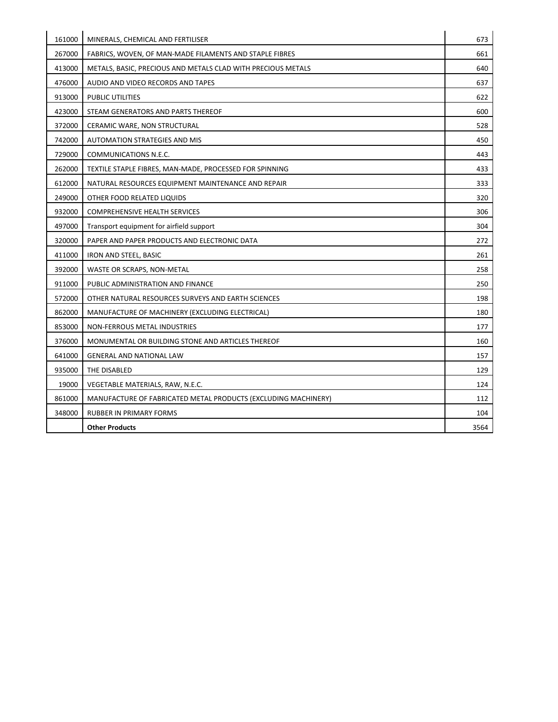| 161000 | MINERALS, CHEMICAL AND FERTILISER                              | 673  |
|--------|----------------------------------------------------------------|------|
| 267000 | FABRICS, WOVEN, OF MAN-MADE FILAMENTS AND STAPLE FIBRES        | 661  |
| 413000 | METALS, BASIC, PRECIOUS AND METALS CLAD WITH PRECIOUS METALS   | 640  |
| 476000 | AUDIO AND VIDEO RECORDS AND TAPES                              | 637  |
| 913000 | PUBLIC UTILITIES                                               | 622  |
| 423000 | STEAM GENERATORS AND PARTS THEREOF                             | 600  |
| 372000 | CERAMIC WARE, NON STRUCTURAL                                   | 528  |
| 742000 | <b>AUTOMATION STRATEGIES AND MIS</b>                           | 450  |
| 729000 | COMMUNICATIONS N.E.C.                                          | 443  |
| 262000 | TEXTILE STAPLE FIBRES, MAN-MADE, PROCESSED FOR SPINNING        | 433  |
| 612000 | NATURAL RESOURCES EQUIPMENT MAINTENANCE AND REPAIR             | 333  |
| 249000 | OTHER FOOD RELATED LIQUIDS                                     | 320  |
| 932000 | <b>COMPREHENSIVE HEALTH SERVICES</b>                           | 306  |
| 497000 | Transport equipment for airfield support                       | 304  |
| 320000 | PAPER AND PAPER PRODUCTS AND ELECTRONIC DATA                   | 272  |
| 411000 | IRON AND STEEL, BASIC                                          | 261  |
| 392000 | WASTE OR SCRAPS, NON-METAL                                     | 258  |
| 911000 | PUBLIC ADMINISTRATION AND FINANCE                              | 250  |
| 572000 | OTHER NATURAL RESOURCES SURVEYS AND EARTH SCIENCES             | 198  |
| 862000 | MANUFACTURE OF MACHINERY (EXCLUDING ELECTRICAL)                | 180  |
| 853000 | NON-FERROUS METAL INDUSTRIES                                   | 177  |
| 376000 | MONUMENTAL OR BUILDING STONE AND ARTICLES THEREOF              | 160  |
| 641000 | <b>GENERAL AND NATIONAL LAW</b>                                | 157  |
| 935000 | THE DISABLED                                                   | 129  |
| 19000  | VEGETABLE MATERIALS, RAW, N.E.C.                               | 124  |
| 861000 | MANUFACTURE OF FABRICATED METAL PRODUCTS (EXCLUDING MACHINERY) | 112  |
| 348000 | <b>RUBBER IN PRIMARY FORMS</b>                                 | 104  |
|        | <b>Other Products</b>                                          | 3564 |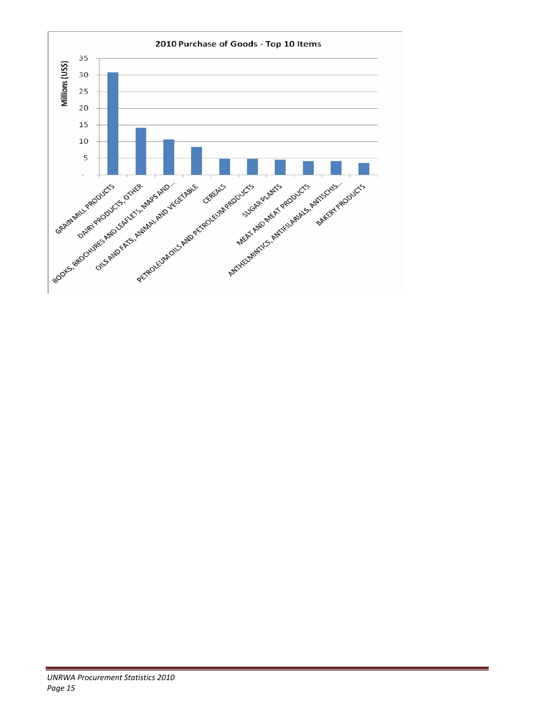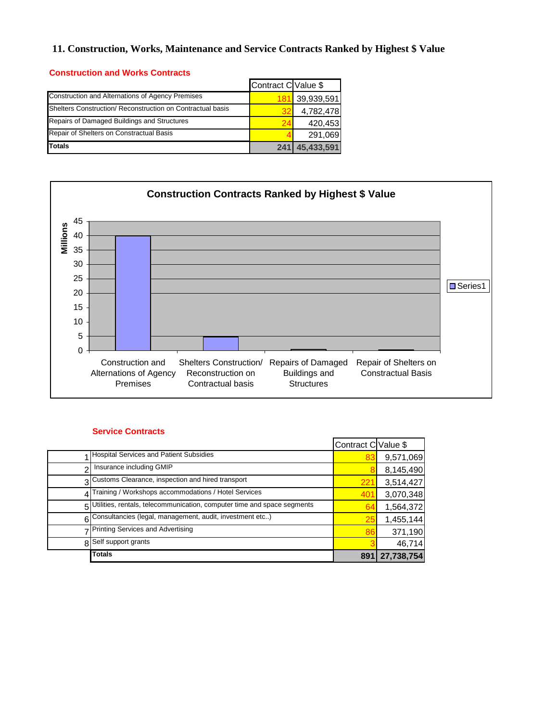# **11. Construction, Works, Maintenance and Service Contracts Ranked by Highest \$ Value**

#### **Construction and Works Contracts**

|                                                            | Contract C Value \$ |            |
|------------------------------------------------------------|---------------------|------------|
| Construction and Alternations of Agency Premises           |                     | 39,939,591 |
| Shelters Construction/ Reconstruction on Contractual basis |                     | 4,782,478  |
| Repairs of Damaged Buildings and Structures                |                     | 420,453    |
| Repair of Shelters on Constractual Basis                   |                     | 291,069    |
| <b>Totals</b>                                              |                     | 45,433,591 |



#### **Service Contracts**

|                                                                           | Contract C Value \$ |            |
|---------------------------------------------------------------------------|---------------------|------------|
| <b>Hospital Services and Patient Subsidies</b>                            |                     | 9,571,069  |
| Insurance including GMIP                                                  |                     | 8,145,490  |
| 3 Customs Clearance, inspection and hired transport                       | 22                  | 3,514,427  |
| 4 Training / Workshops accommodations / Hotel Services                    |                     | 3,070,348  |
| 5 Utilities, rentals, telecommunication, computer time and space segments | 64                  | 1,564,372  |
| 6 Consultancies (legal, management, audit, investment etc)                | 25                  | 1,455,144  |
| 7 Printing Services and Advertising                                       | 86                  | 371,190    |
| Self support grants                                                       |                     | 46,714     |
| <b>Totals</b>                                                             | 891                 | 27,738,754 |